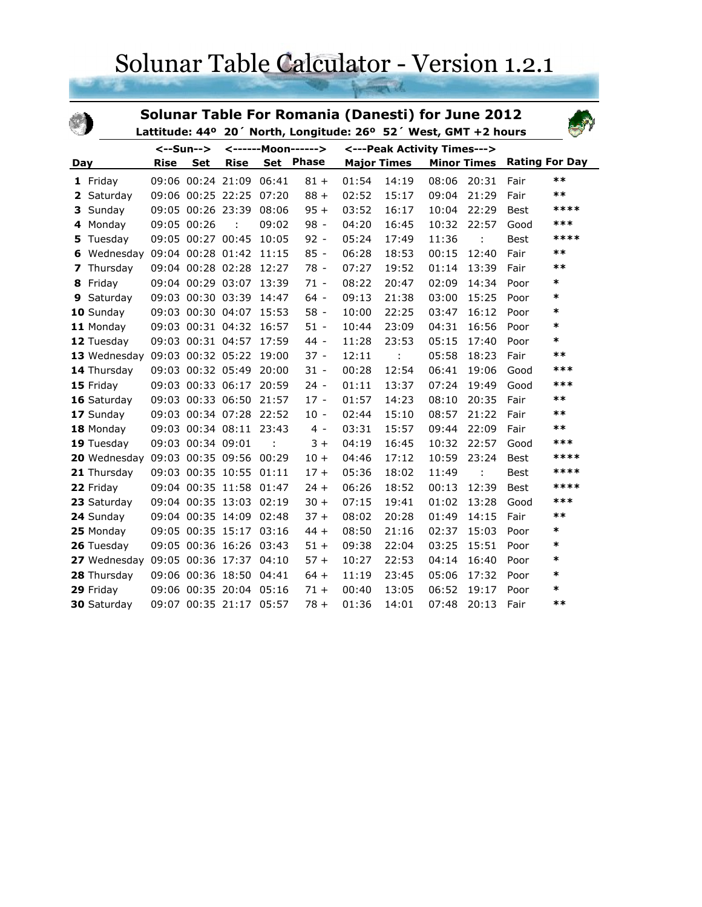## Solunar Table Calculator - Version 1.2.1

|     |                                      |             |                   | <b>Solunar Table For Romania (Danesti) for June 2012</b><br>Lattitude: 44° 20' North, Longitude: 26° 52' West, GMT +2 hours |       |                             |       |                    |       |                      |             |                       |
|-----|--------------------------------------|-------------|-------------------|-----------------------------------------------------------------------------------------------------------------------------|-------|-----------------------------|-------|--------------------|-------|----------------------|-------------|-----------------------|
|     |                                      | <--Sun-->   |                   | <------Moon------>                                                                                                          |       | <---Peak Activity Times---> |       |                    |       |                      |             |                       |
| Day |                                      | <b>Rise</b> | <b>Set</b>        | <b>Rise</b>                                                                                                                 |       | Set Phase                   |       | <b>Major Times</b> |       | <b>Minor Times</b>   |             | <b>Rating For Day</b> |
|     | 1 Friday                             |             |                   | 09:06 00:24 21:09                                                                                                           | 06:41 | $81 +$                      | 01:54 | 14:19              | 08:06 | 20:31                | Fair        | $***$                 |
| 2   | Saturday                             |             |                   | 09:06 00:25 22:25                                                                                                           | 07:20 | $88 +$                      | 02:52 | 15:17              | 09:04 | 21:29                | Fair        | $***$                 |
| 3   | Sunday                               |             |                   | 09:05 00:26 23:39 08:06                                                                                                     |       | $95 +$                      | 03:52 | 16:17              | 10:04 | 22:29                | <b>Best</b> | ****                  |
| 4   | Monday                               |             | 09:05 00:26       | $\cdot$ :                                                                                                                   | 09:02 | $98 -$                      | 04:20 | 16:45              | 10:32 | 22:57                | Good        | ***                   |
| 5   | Tuesday                              |             | 09:05 00:27 00:45 |                                                                                                                             | 10:05 | $92 -$                      | 05:24 | 17:49              | 11:36 | $\ddot{\phantom{a}}$ | Best        | ****                  |
| 6   | Wednesday                            |             |                   | 09:04 00:28 01:42                                                                                                           | 11:15 | $85 -$                      | 06:28 | 18:53              | 00:15 | 12:40                | Fair        | $***$                 |
| 7   | Thursday                             |             |                   | 09:04 00:28 02:28                                                                                                           | 12:27 | $78 -$                      | 07:27 | 19:52              | 01:14 | 13:39                | Fair        | $***$                 |
| 8   | Friday                               |             |                   | 09:04 00:29 03:07                                                                                                           | 13:39 | $71 -$                      | 08:22 | 20:47              | 02:09 | 14:34                | Poor        | *                     |
| 9   | Saturday                             |             |                   | 09:03 00:30 03:39                                                                                                           | 14:47 | $64 -$                      | 09:13 | 21:38              | 03:00 | 15:25                | Poor        | $\ast$                |
|     | 10 Sunday                            |             |                   | 09:03 00:30 04:07                                                                                                           | 15:53 | $58 -$                      | 10:00 | 22:25              | 03:47 | 16:12                | Poor        | *                     |
|     | 11 Monday                            |             |                   | 09:03 00:31 04:32                                                                                                           | 16:57 | $51 -$                      | 10:44 | 23:09              | 04:31 | 16:56                | Poor        | $\ast$                |
|     | 12 Tuesday                           |             |                   | 09:03 00:31 04:57                                                                                                           | 17:59 | $44 -$                      | 11:28 | 23:53              | 05:15 | 17:40                | Poor        | $\ast$                |
|     | 13 Wednesday                         |             |                   | 09:03 00:32 05:22                                                                                                           | 19:00 | $37 -$                      | 12:11 | t                  | 05:58 | 18:23                | Fair        | $***$                 |
|     | 14 Thursday                          |             |                   | 09:03 00:32 05:49 20:00                                                                                                     |       | $31 -$                      | 00:28 | 12:54              | 06:41 | 19:06                | Good        | ***                   |
|     | 15 Friday                            |             |                   | 09:03 00:33 06:17 20:59                                                                                                     |       | $24 -$                      | 01:11 | 13:37              | 07:24 | 19:49                | Good        | ***                   |
|     | 16 Saturday                          |             |                   | 09:03 00:33 06:50 21:57                                                                                                     |       | $17 -$                      | 01:57 | 14:23              | 08:10 | 20:35                | Fair        | $***$                 |
|     | 17 Sunday                            |             |                   | 09:03 00:34 07:28 22:52                                                                                                     |       | $10 -$                      | 02:44 | 15:10              | 08:57 | 21:22                | Fair        | $***$                 |
|     | 18 Monday                            |             |                   | 09:03 00:34 08:11 23:43                                                                                                     |       | $4 -$                       | 03:31 | 15:57              | 09:44 | 22:09                | Fair        | $***$                 |
|     | 19 Tuesday                           |             | 09:03 00:34 09:01 |                                                                                                                             |       | $3+$                        | 04:19 | 16:45              | 10:32 | 22:57                | Good        | ***                   |
|     | 20 Wednesday                         |             |                   | 09:03 00:35 09:56 00:29                                                                                                     |       | $10 +$                      | 04:46 | 17:12              | 10:59 | 23:24                | <b>Best</b> | ****                  |
|     | 21 Thursday                          |             |                   | 09:03 00:35 10:55 01:11                                                                                                     |       | $17 +$                      | 05:36 | 18:02              | 11:49 | ÷                    | Best        | ****                  |
|     | 22 Friday                            |             |                   | 09:04 00:35 11:58 01:47                                                                                                     |       | $24 +$                      | 06:26 | 18:52              | 00:13 | 12:39                | Best        | ****                  |
|     | 23 Saturday                          |             |                   | 09:04 00:35 13:03 02:19                                                                                                     |       | $30 +$                      | 07:15 | 19:41              | 01:02 | 13:28                | Good        | ***                   |
|     | 24 Sunday                            |             |                   | 09:04 00:35 14:09 02:48                                                                                                     |       | $37 +$                      | 08:02 | 20:28              | 01:49 | 14:15                | Fair        | $***$                 |
|     | 25 Monday                            |             |                   | 09:05 00:35 15:17 03:16                                                                                                     |       | $44 +$                      | 08:50 | 21:16              | 02:37 | 15:03                | Poor        | $\ast$                |
|     | 26 Tuesday                           |             |                   | 09:05 00:36 16:26 03:43                                                                                                     |       | $51 +$                      | 09:38 | 22:04              | 03:25 | 15:51                | Poor        | $\ast$                |
|     | 27 Wednesday 09:05 00:36 17:37 04:10 |             |                   |                                                                                                                             |       | $57 +$                      | 10:27 | 22:53              | 04:14 | 16:40                | Poor        | *                     |
|     | 28 Thursday                          |             |                   | 09:06 00:36 18:50 04:41                                                                                                     |       | $64 +$                      | 11:19 | 23:45              | 05:06 | 17:32                | Poor        | *                     |
|     | 29 Friday                            |             |                   | 09:06 00:35 20:04 05:16                                                                                                     |       | $71 +$                      | 00:40 | 13:05              | 06:52 | 19:17                | Poor        | $\ast$                |
|     | 30 Saturday                          |             |                   | 09:07 00:35 21:17                                                                                                           | 05:57 | $78 +$                      | 01:36 | 14:01              | 07:48 | 20:13                | Fair        | $***$                 |